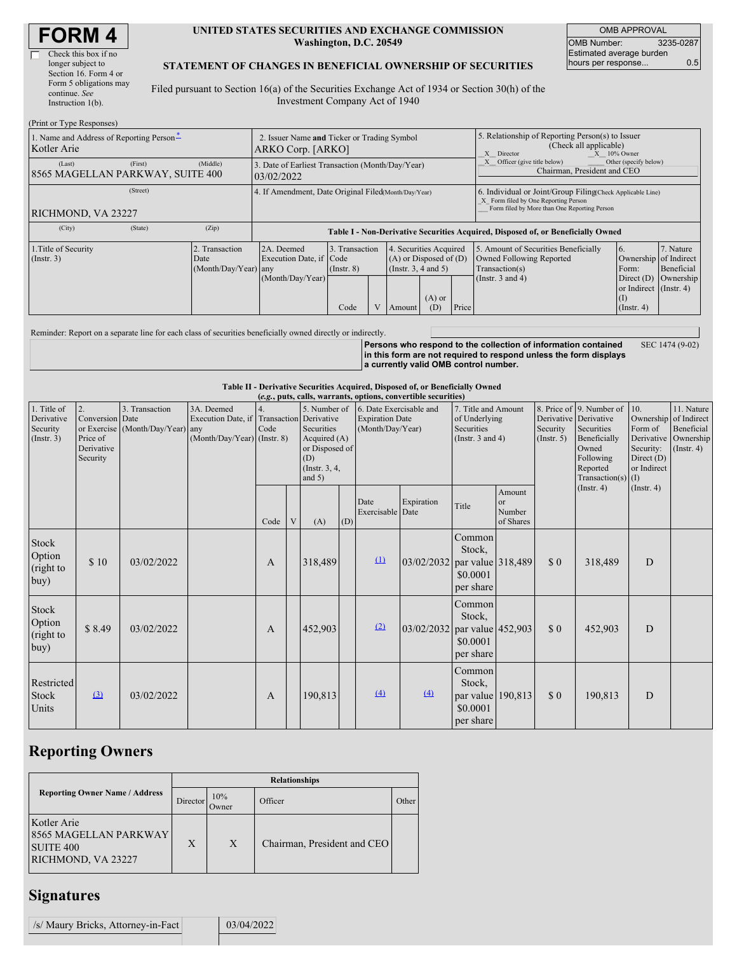| <b>FORM4</b> |  |
|--------------|--|
|--------------|--|

| Check this box if no   |
|------------------------|
| longer subject to      |
| Section 16. Form 4 or  |
| Form 5 obligations may |
| continue. See          |
| Instruction $l(b)$ .   |

#### **UNITED STATES SECURITIES AND EXCHANGE COMMISSION Washington, D.C. 20549**

OMB APPROVAL OMB Number: 3235-0287 Estimated average burden hours per response... 0.5

### **STATEMENT OF CHANGES IN BENEFICIAL OWNERSHIP OF SECURITIES**

Filed pursuant to Section 16(a) of the Securities Exchange Act of 1934 or Section 30(h) of the Investment Company Act of 1940

| (Print or Type Responses)                                                               |          |                                                                                  |                                   |  |                                                                                              |     |                                                                                                                                                    |                                                                                                             |                                                                                       |                                      |
|-----------------------------------------------------------------------------------------|----------|----------------------------------------------------------------------------------|-----------------------------------|--|----------------------------------------------------------------------------------------------|-----|----------------------------------------------------------------------------------------------------------------------------------------------------|-------------------------------------------------------------------------------------------------------------|---------------------------------------------------------------------------------------|--------------------------------------|
| 1. Name and Address of Reporting Person-<br>Kotler Arie                                 |          | 2. Issuer Name and Ticker or Trading Symbol<br>ARKO Corp. [ARKO]                 |                                   |  |                                                                                              |     | 5. Relationship of Reporting Person(s) to Issuer<br>(Check all applicable)<br>$X = 10\%$ Owner<br>X Director                                       |                                                                                                             |                                                                                       |                                      |
| (First)<br>(Last)<br>8565 MAGELLAN PARKWAY, SUITE 400                                   | (Middle) | 3. Date of Earliest Transaction (Month/Day/Year)<br>03/02/2022                   |                                   |  |                                                                                              |     |                                                                                                                                                    | Officer (give title below)<br>Other (specify below)<br>Chairman, President and CEO                          |                                                                                       |                                      |
| (Street)<br>RICHMOND, VA 23227                                                          |          | 4. If Amendment, Date Original Filed(Month/Day/Year)                             |                                   |  |                                                                                              |     | 6. Individual or Joint/Group Filing(Check Applicable Line)<br>X Form filed by One Reporting Person<br>Form filed by More than One Reporting Person |                                                                                                             |                                                                                       |                                      |
| (State)<br>(City)                                                                       | (Zip)    | Table I - Non-Derivative Securities Acquired, Disposed of, or Beneficially Owned |                                   |  |                                                                                              |     |                                                                                                                                                    |                                                                                                             |                                                                                       |                                      |
| 1. Title of Security<br>Transaction<br>$($ Instr. 3 $)$<br>Date<br>(Month/Day/Year) any |          | 2A. Deemed<br>Execution Date, if Code<br>(Month/Day/Year)                        | 3. Transaction<br>$($ Instr. $8)$ |  | 4. Securities Acquired<br>$(A)$ or Disposed of $(D)$<br>(Instr. $3, 4$ and $5$ )<br>$(A)$ or |     |                                                                                                                                                    | 5. Amount of Securities Beneficially<br>Owned Following Reported<br>Transaction(s)<br>(Instr. $3$ and $4$ ) | 6.<br>Ownership of Indirect<br>Form:<br>Direct $(D)$<br>or Indirect (Instr. 4)<br>(1) | 7. Nature<br>Beneficial<br>Ownership |
|                                                                                         |          |                                                                                  | Code                              |  | Amount                                                                                       | (D) | Price                                                                                                                                              |                                                                                                             | $($ Instr. 4 $)$                                                                      |                                      |

Reminder: Report on a separate line for each class of securities beneficially owned directly or indirectly.

**Persons who respond to the collection of information contained in this form are not required to respond unless the form displays a currently valid OMB control number.** SEC 1474 (9-02)

**Table II - Derivative Securities Acquired, Disposed of, or Beneficially Owned**

| (e.g., puts, calls, warrants, options, convertible securities) |                                                             |                                                    |                                                                                          |      |             |                                                                                                  |                                                                       |                          |                                                                                    |                                                                |                                            |                                                                                                                                                          |                                                                                                    |                                                                      |  |
|----------------------------------------------------------------|-------------------------------------------------------------|----------------------------------------------------|------------------------------------------------------------------------------------------|------|-------------|--------------------------------------------------------------------------------------------------|-----------------------------------------------------------------------|--------------------------|------------------------------------------------------------------------------------|----------------------------------------------------------------|--------------------------------------------|----------------------------------------------------------------------------------------------------------------------------------------------------------|----------------------------------------------------------------------------------------------------|----------------------------------------------------------------------|--|
| 1. Title of<br>Derivative<br>Security<br>(Insert. 3)           | 2.<br>Conversion Date<br>Price of<br>Derivative<br>Security | 3. Transaction<br>or Exercise (Month/Day/Year) any | 3A. Deemed<br>Execution Date, if Transaction Derivative<br>$(Month/Day/Year)$ (Instr. 8) | Code |             | 5. Number of<br>Securities<br>Acquired (A)<br>or Disposed of<br>(D)<br>(Instr. 3, 4,<br>and $5)$ | 6. Date Exercisable and<br><b>Expiration Date</b><br>(Month/Day/Year) |                          | 7. Title and Amount<br>of Underlying<br><b>Securities</b><br>(Instr. $3$ and $4$ ) |                                                                | Security<br>(Insert. 5)                    | 8. Price of 9. Number of<br>Derivative Derivative<br>Securities<br>Beneficially<br>Owned<br>Following<br>Reported<br>Transaction(s) $(I)$<br>(Insert. 4) | 10.<br>Ownership of Indirect<br>Form of<br>Security:<br>Direct $(D)$<br>or Indirect<br>(Insert. 4) | 11. Nature<br>Beneficial<br>Derivative Ownership<br>$($ Instr. 4 $)$ |  |
|                                                                |                                                             |                                                    |                                                                                          | Code | $\mathbf V$ | (A)                                                                                              | (D)                                                                   | Date<br>Exercisable Date | Expiration                                                                         | Title                                                          | Amount<br><b>or</b><br>Number<br>of Shares |                                                                                                                                                          |                                                                                                    |                                                                      |  |
| Stock<br>Option<br>(right to<br>buy)                           | \$10                                                        | 03/02/2022                                         |                                                                                          | A    |             | 318,489                                                                                          |                                                                       | $\Omega$                 | 03/02/2032 par value 318,489                                                       | Common<br>Stock,<br>\$0.0001<br>per share                      |                                            | \$0                                                                                                                                                      | 318,489                                                                                            | D                                                                    |  |
| Stock<br>Option<br>(right to<br>buy)                           | \$8.49                                                      | 03/02/2022                                         |                                                                                          | A    |             | 452,903                                                                                          |                                                                       | (2)                      | 03/02/2032 par value 452,903                                                       | Common<br>Stock,<br>\$0.0001<br>per share                      |                                            | \$0                                                                                                                                                      | 452,903                                                                                            | D                                                                    |  |
| Restricted<br>Stock<br>Units                                   | (3)                                                         | 03/02/2022                                         |                                                                                          | A    |             | 190,813                                                                                          |                                                                       | (4)                      | (4)                                                                                | Common<br>Stock,<br>par value 190,813<br>\$0.0001<br>per share |                                            | \$0                                                                                                                                                      | 190,813                                                                                            | D                                                                    |  |

# **Reporting Owners**

|                                                                                       | <b>Relationships</b> |               |                             |       |  |  |  |  |  |  |
|---------------------------------------------------------------------------------------|----------------------|---------------|-----------------------------|-------|--|--|--|--|--|--|
| <b>Reporting Owner Name / Address</b>                                                 | Director             | 10%<br>Owner) | Officer                     | Other |  |  |  |  |  |  |
| Kotler Arie<br><b>8565 MAGELLAN PARKWAY</b><br><b>SUITE 400</b><br>RICHMOND, VA 23227 | X                    | X             | Chairman, President and CEO |       |  |  |  |  |  |  |

# **Signatures**

| /s/ Maury Bricks, Attorney-in-Fact | 03/04/2022 |
|------------------------------------|------------|
|                                    |            |